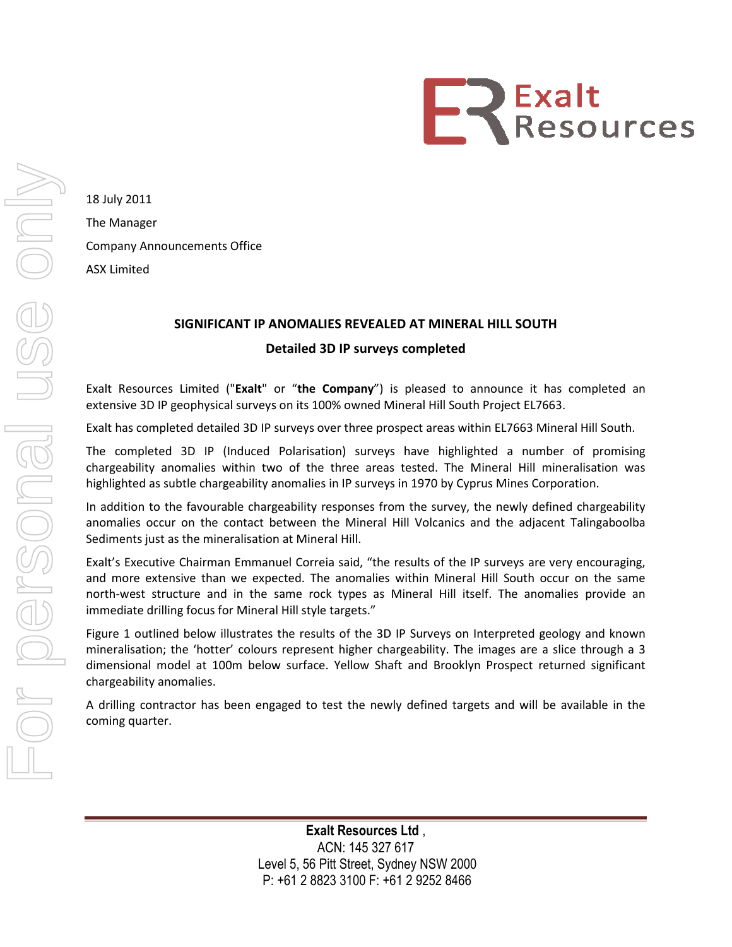

18 July 2011 The Manager Company Announcements Office ASX Limited

## SIGNIFICANT IP ANOMALIES REVEALED AT MINERAL HILL

## D Detailed 3D IP surveys completed

Exalt Resources Limited ("Exalt" or "the Company") is pleased to announce it has completed an extensive 3D IP geophysical surveys on its 100% owned Mineral Hill South Project EL7663.

Exalt has completed detailed 3D IP surveys over three prospect areas within EL7663 Mineral Hill South.

extensive 3D IP geophysical surveys on its 100% owned Mineral Hill South Project EL7663.<br>Exalt has completed detailed 3D IP surveys over three prospect areas within EL7663 Mineral Hill South.<br>The completed 3D IP (Induced P chargeability anomalies within two of the three areas tested. The Mineral Hill mineralisation was highlighted as subtle chargeability anomalies in IP surveys in 1970 by Cyprus Mines Corporation.

In addition to the favourable chargeability responses from the survey, the newly defined chargeability anomalies occur on the contact between the Mineral Hill Volcanics and the adjacent Talingaboolba Sediments just as the mineralisation at Mineral Hill.

Sediments just as the mineralisation at Mineral Hill.<br>Exalt's Executive Chairman Emmanuel Correia said, "the results of the IP surveys are very encouraging, and more extensive than we expected. The anomalies within Mineral Hill South occur on the same north-west structure and in the same rock types as Mineral Hill itself. The anomalies immediate drilling focus for Mineral Hill style targets." immediate drilling focus for Mineral Hill style targets." of the IP surveys are very encouraging,<br>Mineral Hill South occur on the same<br>Hill itself. The anomalies provide an

Figure 1 outlined below illustrates the results of the 3D IP Surveys on Interpreted geology and known mineralisation; the 'hotter' colours represent higher chargeability. The images are a slice through a 3 dimensional model at 100m below surface. Yellow Shaft and Brooklyn Prospect returned significant chargeability anomalies. IP ANOMALIES REVEALED AT MINERAL HILL SOUTH<br>
Detailed 3D IP surveys completed<br>
It" or "the Company") is pleased to announce it ha<br>
veys on its 100% owned Mineral Hill South Project EL766:<br>
DIP surveys over three prospect a

A drilling contractor has been engaged to test the newly defined targets and will be available in the coming quarter.

> Level 5, 56 Pitt Street, Sydney NSW 2000 2000 P: +61 2 8823 3100 F: +61 2 9252 8466 Exalt Resources Ltd , ACN: 145 327 617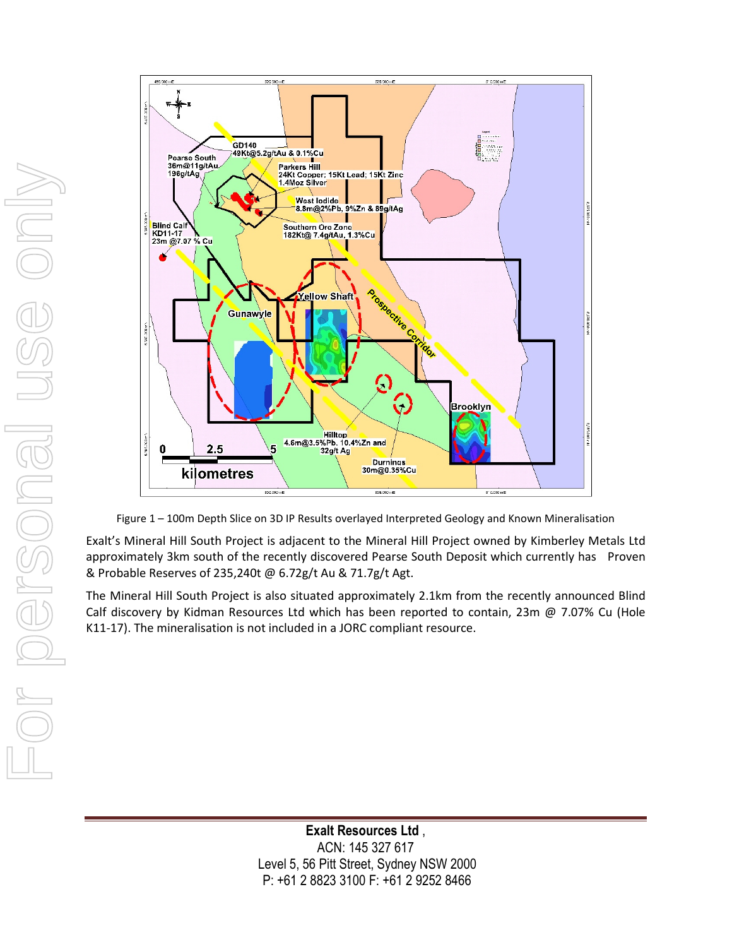



Figure 1 – 100m Depth Slice on 3D IP Results overlayed Interpreted Geology and Known Mineralisation

Exalt's Mineral Hill South Project is adjacent to the Mineral Hill Project owned by Kimberley Metals Ltd approximately 3km south of the recently discovered Pearse South Deposit which currently has Proven & Probable Reserves of 235,240t @ 6.72g/t Au & 71.7g/t Agt.

The Mineral Hill South Project is also situated approximately 2.1km from the recently announced Blind Calf discovery by Kidman Resources Ltd which has been reported to contain, 23m @ 7.07% Cu (Hole K11-17). The mineralisation is not included in a JORC compliant resource.